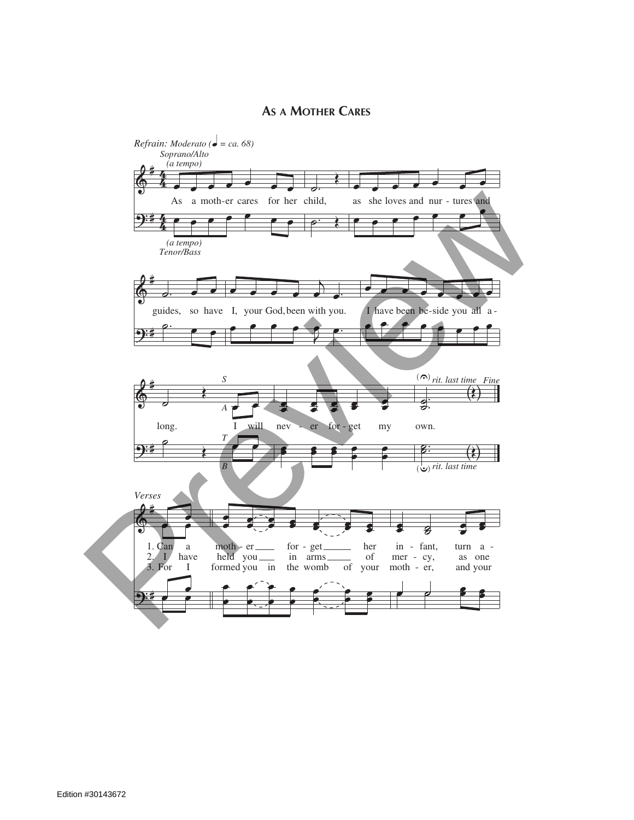## **As a Mother Cares**